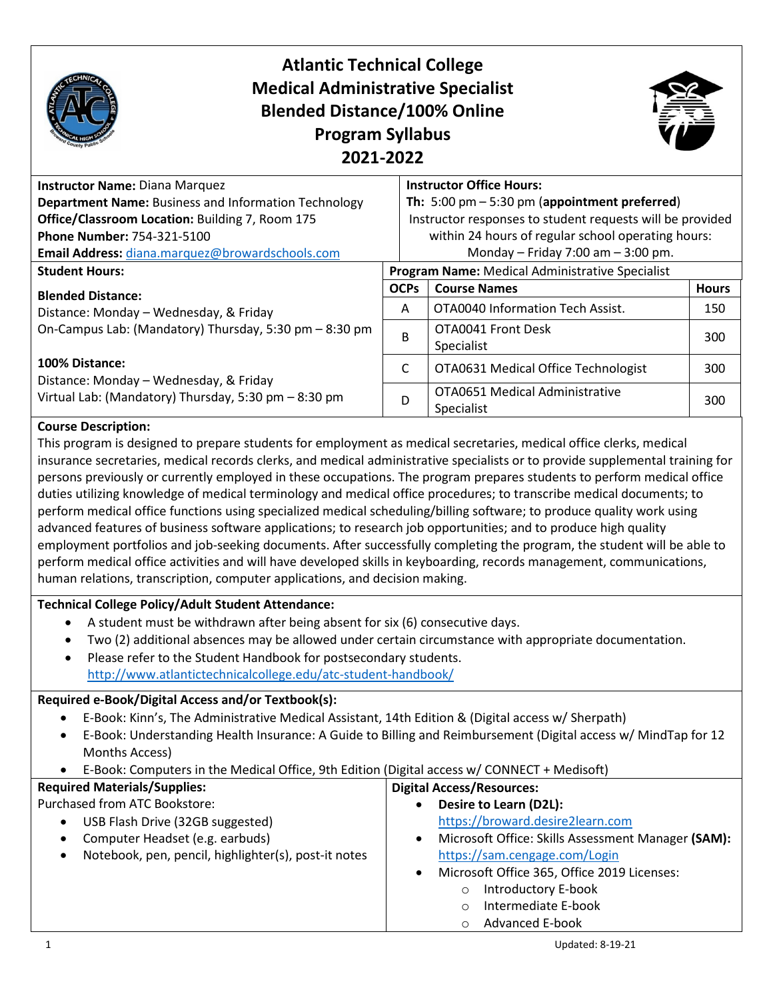

#### **Course Description:**

This program is designed to prepare students for employment as medical secretaries, medical office clerks, medical insurance secretaries, medical records clerks, and medical administrative specialists or to provide supplemental training for persons previously or currently employed in these occupations. The program prepares students to perform medical office duties utilizing knowledge of medical terminology and medical office procedures; to transcribe medical documents; to perform medical office functions using specialized medical scheduling/billing software; to produce quality work using advanced features of business software applications; to research job opportunities; and to produce high quality employment portfolios and job-seeking documents. After successfully completing the program, the student will be able to perform medical office activities and will have developed skills in keyboarding, records management, communications, human relations, transcription, computer applications, and decision making.

### **Technical College Policy/Adult Student Attendance:**

- A student must be withdrawn after being absent for six (6) consecutive days.
- Two (2) additional absences may be allowed under certain circumstance with appropriate documentation.
- Please refer to the Student Handbook for postsecondary students.

<http://www.atlantictechnicalcollege.edu/atc-student-handbook/>

### **Required e-Book/Digital Access and/or Textbook(s):**

- E-Book: Kinn's, The Administrative Medical Assistant, 14th Edition & (Digital access w/ Sherpath)
- E-Book: Understanding Health Insurance: A Guide to Billing and Reimbursement (Digital access w/ MindTap for 12 Months Access)
- E-Book: Computers in the Medical Office, 9th Edition (Digital access w/ CONNECT + Medisoft)

| <b>Required Materials/Supplies:</b>                  | <b>Digital Access/Resources:</b>                   |
|------------------------------------------------------|----------------------------------------------------|
| Purchased from ATC Bookstore:                        | Desire to Learn (D2L):                             |
| USB Flash Drive (32GB suggested)                     | https://broward.desire2learn.com                   |
| Computer Headset (e.g. earbuds)                      | Microsoft Office: Skills Assessment Manager (SAM): |
| Notebook, pen, pencil, highlighter(s), post-it notes | https://sam.cengage.com/Login                      |
|                                                      | Microsoft Office 365, Office 2019 Licenses:        |
|                                                      | <b>Introductory E-book</b>                         |
|                                                      | Intermediate E-book                                |
|                                                      | Advanced E-book                                    |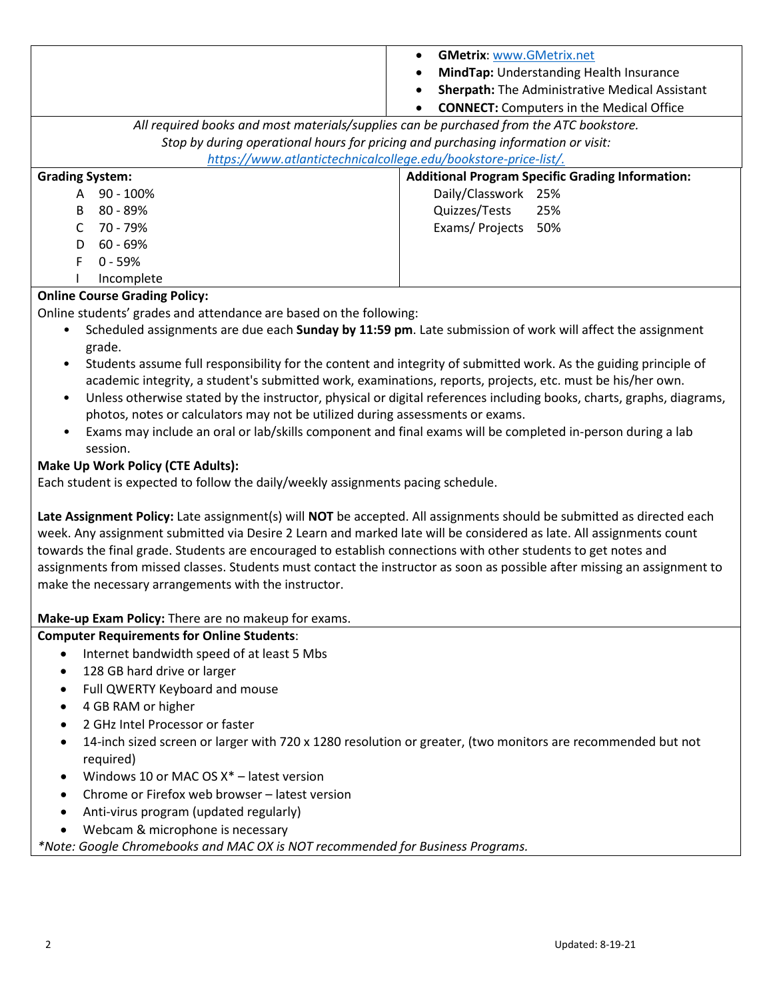|                                                                                         | <b>GMetrix: www.GMetrix.net</b><br><b>MindTap:</b> Understanding Health Insurance<br><b>Sherpath:</b> The Administrative Medical Assistant<br><b>CONNECT:</b> Computers in the Medical Office |
|-----------------------------------------------------------------------------------------|-----------------------------------------------------------------------------------------------------------------------------------------------------------------------------------------------|
| All required books and most materials/supplies can be purchased from the ATC bookstore. |                                                                                                                                                                                               |
| Stop by during operational hours for pricing and purchasing information or visit:       |                                                                                                                                                                                               |
| https://www.atlantictechnicalcollege.edu/bookstore-price-list/.                         |                                                                                                                                                                                               |
| <b>Grading System:</b>                                                                  | <b>Additional Program Specific Grading Information:</b>                                                                                                                                       |
| $90 - 100\%$<br>A                                                                       | Daily/Classwork 25%                                                                                                                                                                           |
| B<br>$80 - 89\%$                                                                        | Quizzes/Tests<br>25%                                                                                                                                                                          |
| 70 - 79%                                                                                | Exams/Projects<br>50%                                                                                                                                                                         |
| $60 - 69%$<br>D                                                                         |                                                                                                                                                                                               |
| F<br>$0 - 59%$                                                                          |                                                                                                                                                                                               |
| Incomplete                                                                              |                                                                                                                                                                                               |

# **Online Course Grading Policy:**

Online students' grades and attendance are based on the following:

- Scheduled assignments are due each **Sunday by 11:59 pm**. Late submission of work will affect the assignment grade.
- Students assume full responsibility for the content and integrity of submitted work. As the guiding principle of academic integrity, a student's submitted work, examinations, reports, projects, etc. must be his/her own.
- Unless otherwise stated by the instructor, physical or digital references including books, charts, graphs, diagrams, photos, notes or calculators may not be utilized during assessments or exams.
- Exams may include an oral or lab/skills component and final exams will be completed in-person during a lab session.

# **Make Up Work Policy (CTE Adults):**

Each student is expected to follow the daily/weekly assignments pacing schedule.

**Late Assignment Policy:** Late assignment(s) will **NOT** be accepted. All assignments should be submitted as directed each week. Any assignment submitted via Desire 2 Learn and marked late will be considered as late. All assignments count towards the final grade. Students are encouraged to establish connections with other students to get notes and assignments from missed classes. Students must contact the instructor as soon as possible after missing an assignment to make the necessary arrangements with the instructor.

**Make-up Exam Policy:** There are no makeup for exams.

#### **Computer Requirements for Online Students**:

- Internet bandwidth speed of at least 5 Mbs
- 128 GB hard drive or larger
- Full QWERTY Keyboard and mouse
- 4 GB RAM or higher
- 2 GHz Intel Processor or faster
- 14-inch sized screen or larger with 720 x 1280 resolution or greater, (two monitors are recommended but not required)
- Windows 10 or MAC OS  $X^*$  latest version
- Chrome or Firefox web browser latest version
- Anti-virus program (updated regularly)
- Webcam & microphone is necessary

*\*Note: Google Chromebooks and MAC OX is NOT recommended for Business Programs.*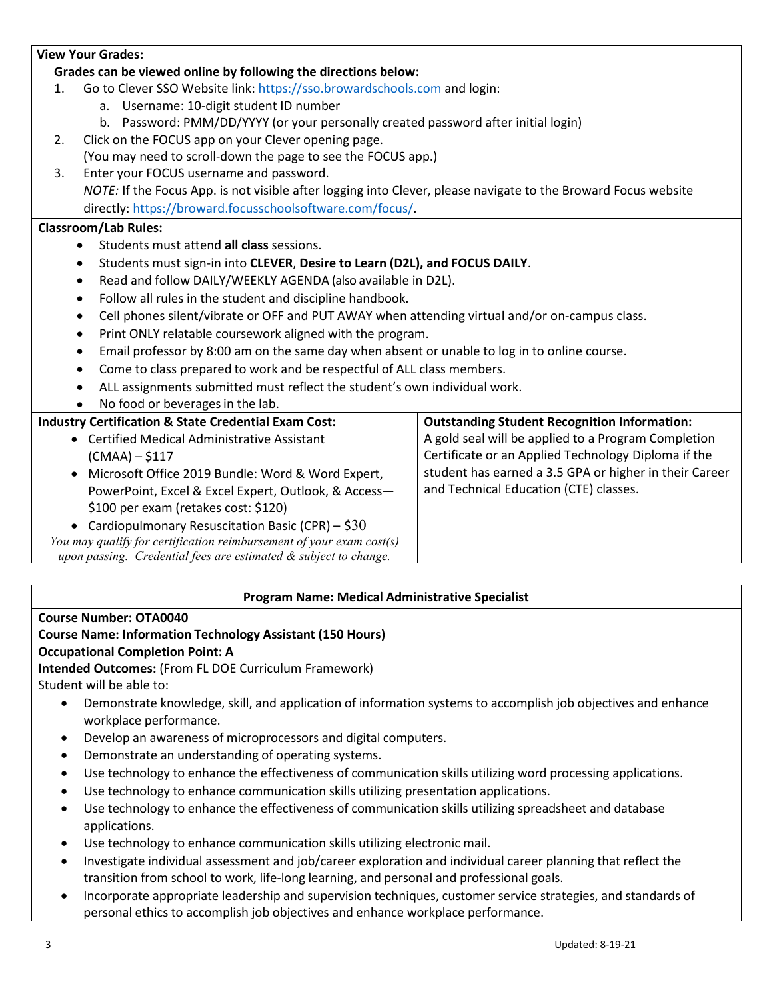### **View Your Grades:**

### **Grades can be viewed online by following the directions below:**

- 1. Go to Clever SSO Website link[: https://sso.browardschools.com](https://sso.browardschools.com/) and login:
	- a. Username: 10-digit student ID number
	- b. Password: PMM/DD/YYYY (or your personally created password after initial login)
- 2. Click on the FOCUS app on your Clever opening page. (You may need to scroll-down the page to see the FOCUS app.)
- 3. Enter your FOCUS username and password. *NOTE:* If the Focus App. is not visible after logging into Clever, please navigate to the Broward Focus website directly: [https://broward.focusschoolsoftware.com/focus/.](https://broward.focusschoolsoftware.com/focus/)

# **Classroom/Lab Rules:**

- Students must attend **all class** sessions.
- Students must sign-in into **CLEVER**, **Desire to Learn (D2L), and FOCUS DAILY**.
- Read and follow DAILY/WEEKLY AGENDA (also available in D2L).
- Follow all rules in the student and discipline handbook.
- Cell phones silent/vibrate or OFF and PUT AWAY when attending virtual and/or on-campus class.
- Print ONLY relatable coursework aligned with the program.
- Email professor by 8:00 am on the same day when absent or unable to log in to online course.
- Come to class prepared to work and be respectful of ALL class members.
- ALL assignments submitted must reflect the student's own individual work.
- No food or beverages in the lab.

# **Industry Certification & State Credential Exam Cost:**

- Certified Medical Administrative Assistant (CMAA) – \$117 • Microsoft Office 2019 Bundle: Word & Word Expert,
	- PowerPoint, Excel & Excel Expert, Outlook, & Access— \$100 per exam (retakes cost: \$120)
	- Cardiopulmonary Resuscitation Basic (CPR)  $$30$

*You may qualify for certification reimbursement of your exam cost(s) upon passing. Credential fees are estimated & subject to change.*

**Outstanding Student Recognition Information:** A gold seal will be applied to a Program Completion Certificate or an Applied Technology Diploma if the student has earned a 3.5 GPA or higher in their Career

and Technical Education (CTE) classes.

#### **Program Name: Medical Administrative Specialist**

#### **Course Number: OTA0040**

# **Course Name: Information Technology Assistant (150 Hours)**

# **Occupational Completion Point: A**

**Intended Outcomes:** (From FL DOE Curriculum Framework) Student will be able to:

- Demonstrate knowledge, skill, and application of information systems to accomplish job objectives and enhance workplace performance.
- Develop an awareness of microprocessors and digital computers.
- Demonstrate an understanding of operating systems.
- Use technology to enhance the effectiveness of communication skills utilizing word processing applications.
- Use technology to enhance communication skills utilizing presentation applications.
- Use technology to enhance the effectiveness of communication skills utilizing spreadsheet and database applications.
- Use technology to enhance communication skills utilizing electronic mail.
- Investigate individual assessment and job/career exploration and individual career planning that reflect the transition from school to work, life-long learning, and personal and professional goals.
- Incorporate appropriate leadership and supervision techniques, customer service strategies, and standards of personal ethics to accomplish job objectives and enhance workplace performance.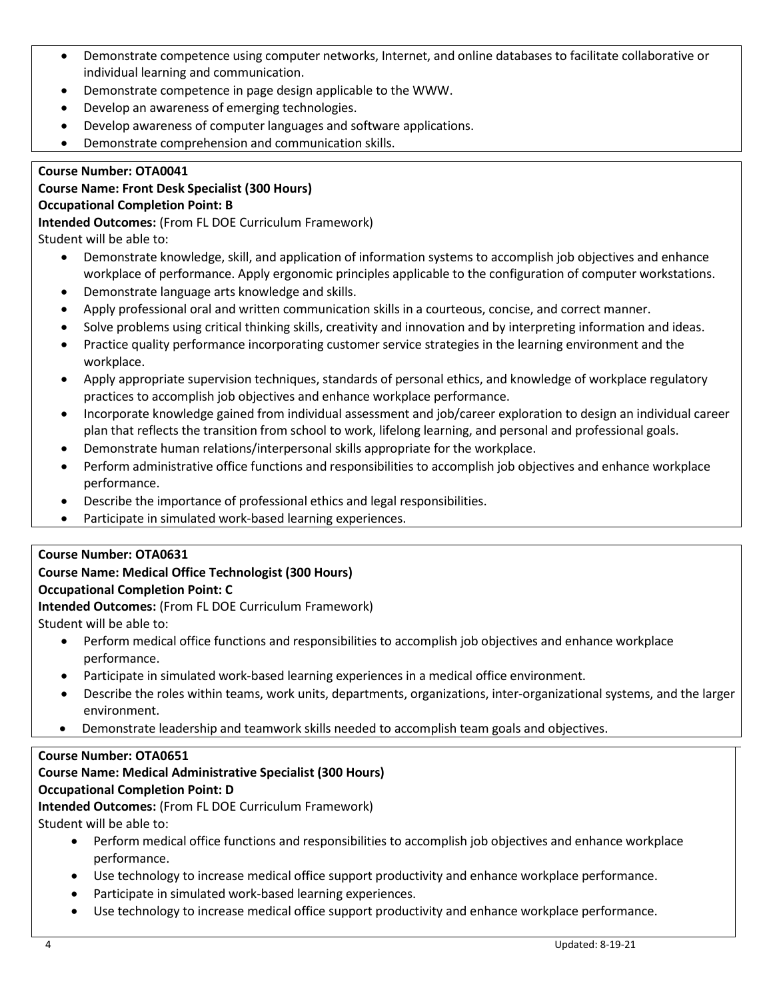- Demonstrate competence using computer networks, Internet, and online databases to facilitate collaborative or individual learning and communication.
- Demonstrate competence in page design applicable to the WWW.
- Develop an awareness of emerging technologies.
- Develop awareness of computer languages and software applications.
- Demonstrate comprehension and communication skills.

## **Course Number: OTA0041**

## **Course Name: Front Desk Specialist (300 Hours) Occupational Completion Point: B**

**Intended Outcomes:** (From FL DOE Curriculum Framework)

Student will be able to:

- Demonstrate knowledge, skill, and application of information systems to accomplish job objectives and enhance workplace of performance. Apply ergonomic principles applicable to the configuration of computer workstations.
- Demonstrate language arts knowledge and skills.
- Apply professional oral and written communication skills in a courteous, concise, and correct manner.
- Solve problems using critical thinking skills, creativity and innovation and by interpreting information and ideas.
- Practice quality performance incorporating customer service strategies in the learning environment and the workplace.
- Apply appropriate supervision techniques, standards of personal ethics, and knowledge of workplace regulatory practices to accomplish job objectives and enhance workplace performance.
- Incorporate knowledge gained from individual assessment and job/career exploration to design an individual career plan that reflects the transition from school to work, lifelong learning, and personal and professional goals.
- Demonstrate human relations/interpersonal skills appropriate for the workplace.
- Perform administrative office functions and responsibilities to accomplish job objectives and enhance workplace performance.
- Describe the importance of professional ethics and legal responsibilities.
- Participate in simulated work-based learning experiences.

# **Course Number: OTA0631**

# **Course Name: Medical Office Technologist (300 Hours)**

#### **Occupational Completion Point: C**

**Intended Outcomes:** (From FL DOE Curriculum Framework)

Student will be able to:

- Perform medical office functions and responsibilities to accomplish job objectives and enhance workplace performance.
- Participate in simulated work-based learning experiences in a medical office environment.
- Describe the roles within teams, work units, departments, organizations, inter-organizational systems, and the larger environment.
- Demonstrate leadership and teamwork skills needed to accomplish team goals and objectives.

#### **Course Number: OTA0651**

# **Course Name: Medical Administrative Specialist (300 Hours)**

#### **Occupational Completion Point: D**

**Intended Outcomes:** (From FL DOE Curriculum Framework)

Student will be able to:

- Perform medical office functions and responsibilities to accomplish job objectives and enhance workplace performance.
- Use technology to increase medical office support productivity and enhance workplace performance.
- Participate in simulated work-based learning experiences.
- Use technology to increase medical office support productivity and enhance workplace performance.